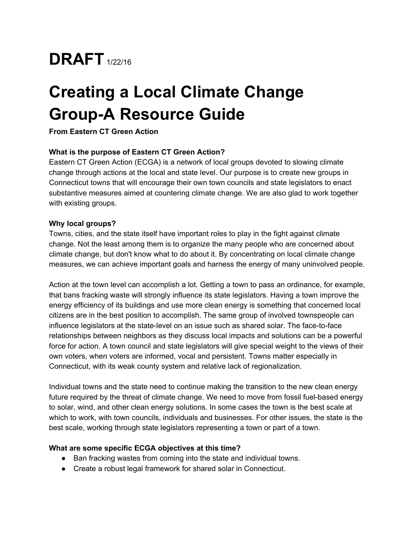

# **Creating a Local Climate Change Group-A Resource Guide**

**From Eastern CT Green Action**

## **What is the purpose of Eastern CT Green Action?**

Eastern CT Green Action (ECGA) is a network of local groups devoted to slowing climate change through actions at the local and state level. Our purpose is to create new groups in Connecticut towns that will encourage their own town councils and state legislators to enact substantive measures aimed at countering climate change. We are also glad to work together with existing groups.

#### **Why local groups?**

Towns, cities, and the state itself have important roles to play in the fight against climate change. Not the least among them is to organize the many people who are concerned about climate change, but don't know what to do about it. By concentrating on local climate change measures, we can achieve important goals and harness the energy of many uninvolved people.

Action at the town level can accomplish a lot. Getting a town to pass an ordinance, for example, that bans fracking waste will strongly influence its state legislators. Having a town improve the energy efficiency of its buildings and use more clean energy is something that concerned local citizens are in the best position to accomplish. The same group of involved townspeople can influence legislators at the state-level on an issue such as shared solar. The face-to-face relationships between neighbors as they discuss local impacts and solutions can be a powerful force for action. A town council and state legislators will give special weight to the views of their own voters, when voters are informed, vocal and persistent. Towns matter especially in Connecticut, with its weak county system and relative lack of regionalization.

Individual towns and the state need to continue making the transition to the new clean energy future required by the threat of climate change. We need to move from fossil fuel-based energy to solar, wind, and other clean energy solutions. In some cases the town is the best scale at which to work, with town councils, individuals and businesses. For other issues, the state is the best scale, working through state legislators representing a town or part of a town.

#### **What are some specific ECGA objectives at this time?**

- Ban fracking wastes from coming into the state and individual towns.
- Create a robust legal framework for shared solar in Connecticut.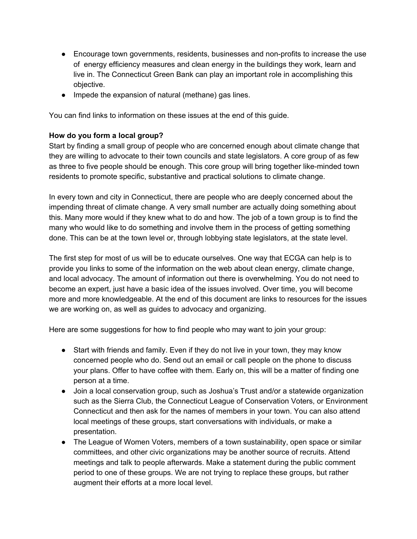- Encourage town governments, residents, businesses and non-profits to increase the use of energy efficiency measures and clean energy in the buildings they work, learn and live in. The Connecticut Green Bank can play an important role in accomplishing this objective.
- Impede the expansion of natural (methane) gas lines.

You can find links to information on these issues at the end of this guide.

## **How do you form a local group?**

Start by finding a small group of people who are concerned enough about climate change that they are willing to advocate to their town councils and state legislators. A core group of as few as three to five people should be enough. This core group will bring together like-minded town residents to promote specific, substantive and practical solutions to climate change.

In every town and city in Connecticut, there are people who are deeply concerned about the impending threat of climate change. A very small number are actually doing something about this. Many more would if they knew what to do and how. The job of a town group is to find the many who would like to do something and involve them in the process of getting something done. This can be at the town level or, through lobbying state legislators, at the state level.

The first step for most of us will be to educate ourselves. One way that ECGA can help is to provide you links to some of the information on the web about clean energy, climate change, and local advocacy. The amount of information out there is overwhelming. You do not need to become an expert, just have a basic idea of the issues involved. Over time, you will become more and more knowledgeable. At the end of this document are links to resources for the issues we are working on, as well as guides to advocacy and organizing.

Here are some suggestions for how to find people who may want to join your group:

- Start with friends and family. Even if they do not live in your town, they may know concerned people who do. Send out an email or call people on the phone to discuss your plans. Offer to have coffee with them. Early on, this will be a matter of finding one person at a time.
- Join a local conservation group, such as Joshua's Trust and/or a statewide organization such as the Sierra Club, the Connecticut League of Conservation Voters, or Environment Connecticut and then ask for the names of members in your town. You can also attend local meetings of these groups, start conversations with individuals, or make a presentation.
- The League of Women Voters, members of a town sustainability, open space or similar committees, and other civic organizations may be another source of recruits. Attend meetings and talk to people afterwards. Make a statement during the public comment period to one of these groups. We are not trying to replace these groups, but rather augment their efforts at a more local level.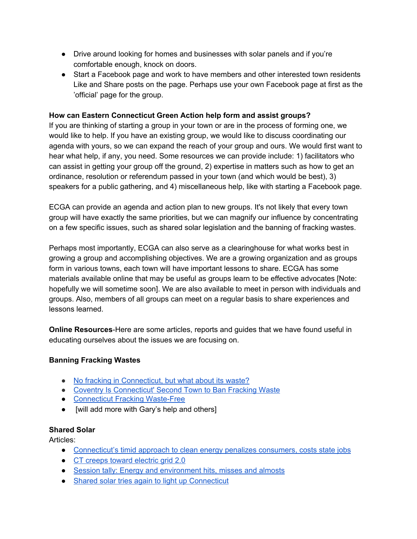- Drive around looking for homes and businesses with solar panels and if you're comfortable enough, knock on doors.
- Start a Facebook page and work to have members and other interested town residents Like and Share posts on the page. Perhaps use your own Facebook page at first as the 'official' page for the group.

## **How can Eastern Connecticut Green Action help form and assist groups?**

If you are thinking of starting a group in your town or are in the process of forming one, we would like to help. If you have an existing group, we would like to discuss coordinating our agenda with yours, so we can expand the reach of your group and ours. We would first want to hear what help, if any, you need. Some resources we can provide include: 1) facilitators who can assist in getting your group off the ground, 2) expertise in matters such as how to get an ordinance, resolution or referendum passed in your town (and which would be best), 3) speakers for a public gathering, and 4) miscellaneous help, like with starting a Facebook page.

ECGA can provide an agenda and action plan to new groups. It's not likely that every town group will have exactly the same priorities, but we can magnify our influence by concentrating on a few specific issues, such as shared solar legislation and the banning of fracking wastes.

Perhaps most importantly, ECGA can also serve as a clearinghouse for what works best in growing a group and accomplishing objectives. We are a growing organization and as groups form in various towns, each town will have important lessons to share. ECGA has some materials available online that may be useful as groups learn to be effective advocates [Note: hopefully we will sometime soon]. We are also available to meet in person with individuals and groups. Also, members of all groups can meet on a regular basis to share experiences and lessons learned.

**Online Resources-Here are some articles, reports and guides that we have found useful in** educating ourselves about the issues we are focusing on.

### **Banning Fracking Wastes**

- No fracking in [Connecticut,](http://ctmirror.org/2014/02/12/no-fracking-in-connecticut-but-what-about-its-waste/) but what about its waste?
- Coventry Is [Connecticut'](http://wnpr.org/post/coventry-connecticuts-second-town-ban-fracking-waste#stream/0) Second Town to Ban Fracking Waste
- [Connecticut](http://wastefreect.org/index.html) Fracking Waste-Free
- [will add more with Gary's help and others]

### **Shared Solar**

Articles:

- [Connecticut's](http://ctviewpoints.org/2015/05/19/connecticuts-timid-approach-to-clean-energy-penalizes-consumers-costs-state-jobs/) timid approach to clean energy penalizes consumers, costs state jobs
- CT creeps toward [electric](http://ctmirror.org/2014/12/29/connecticut-creeps-toward-electric-grid-2-0/) grid 2.0
- Session tally: Energy and [environment](http://ctmirror.org/2015/06/05/session-tally-energy-and-environment-hits-misses-and-almosts/) hits, misses and almosts
- Shared solar tries again to light up [Connecticut](http://ctmirror.org/2015/04/07/shared-solar-tries-again-to-light-up-connecticut/)